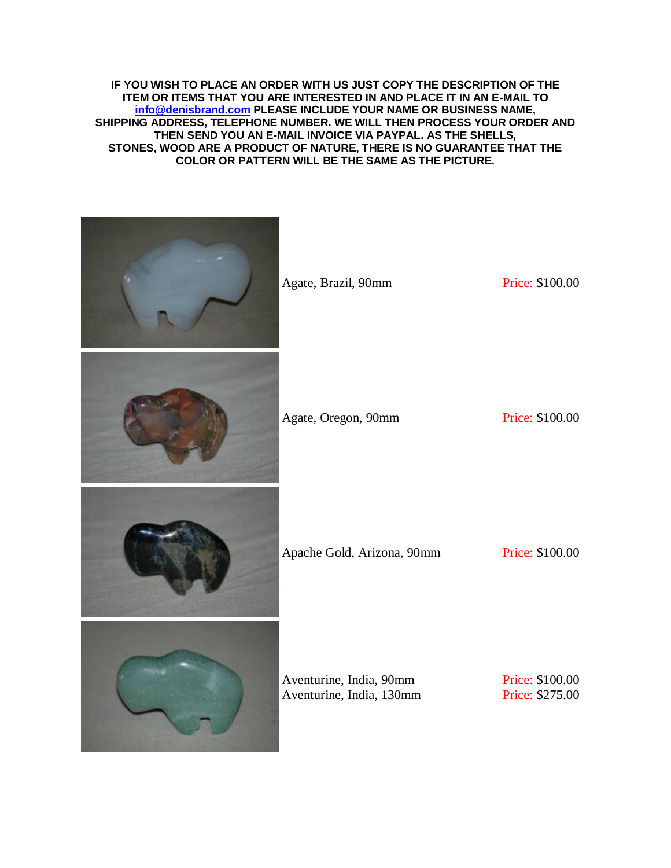**IF YOU WISH TO PLACE AN ORDER WITH US JUST COPY THE DESCRIPTION OF THE ITEM OR ITEMS THAT YOU ARE INTERESTED IN AND PLACE IT IN AN E-MAIL TO [info@denisbrand.com](mailto:info@denisbrand.com) PLEASE INCLUDE YOUR NAME OR BUSINESS NAME, SHIPPING ADDRESS, TELEPHONE NUMBER. WE WILL THEN PROCESS YOUR ORDER AND THEN SEND YOU AN E-MAIL INVOICE VIA PAYPAL. AS THE SHELLS, STONES, WOOD ARE A PRODUCT OF NATURE, THERE IS NO GUARANTEE THAT THE COLOR OR PATTERN WILL BE THE SAME AS THE PICTURE.**

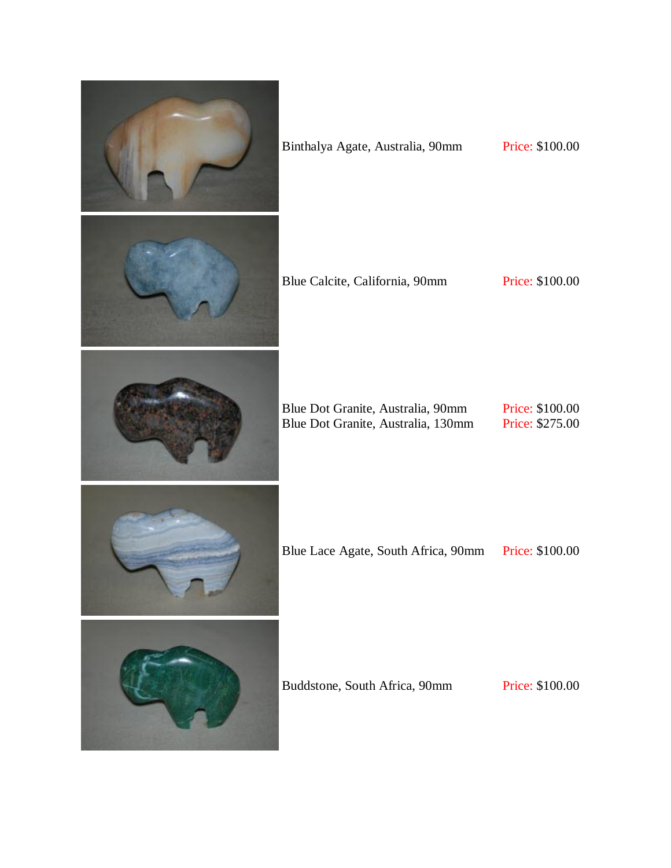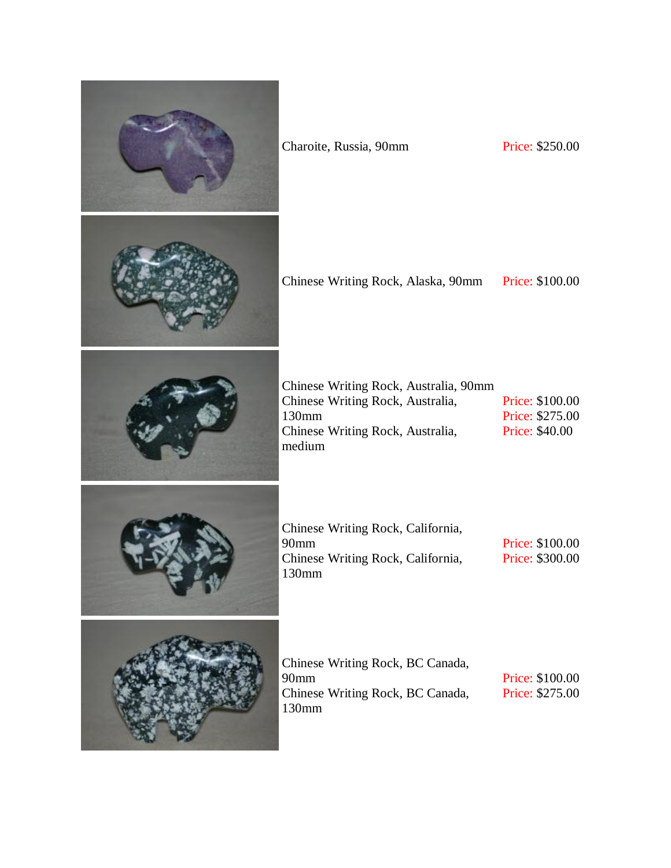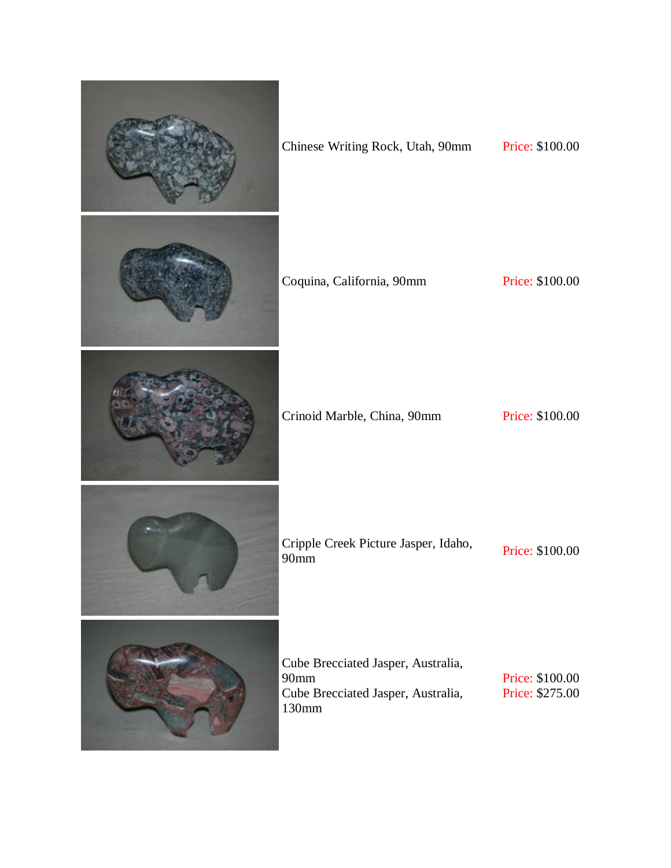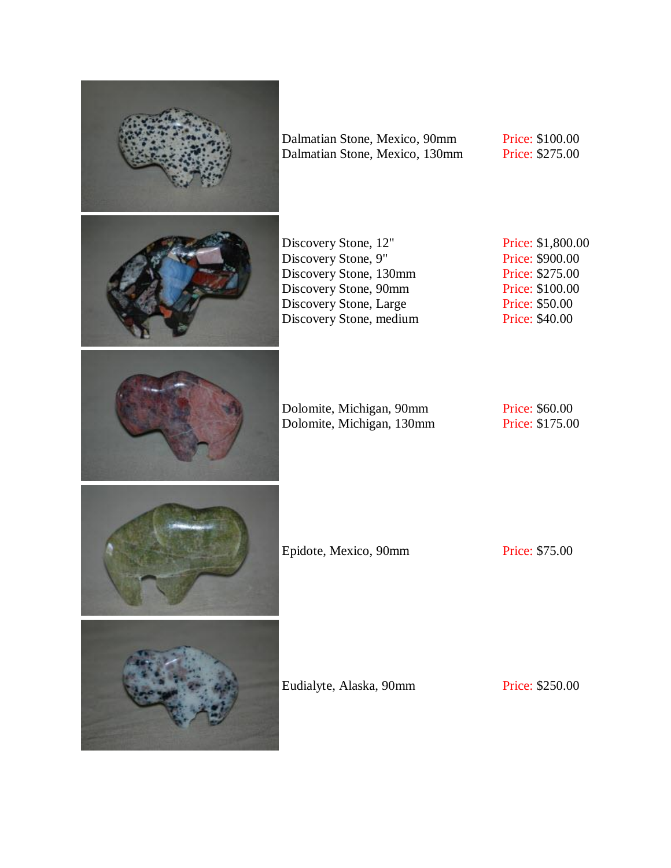

Dalmatian Stone, Mexico, 90mm Dalmatian Stone, Mexico, 130mm Price: \$100.00 Price: \$275.00

Discovery Stone, 12" Discovery Stone, 9" Discovery Stone, 130mm Discovery Stone, 90mm Discovery Stone, Large Discovery Stone, medium Price: \$1,800.00 Price: \$900.00 Price: \$275.00 Price: \$100.00 Price: \$50.00 Price: \$40.00

Dolomite, Michigan, 90mm Dolomite, Michigan, 130mm

Price: \$60.00 Price: \$175.00

Epidote, Mexico, 90mm Price: \$75.00

Eudialyte, Alaska, 90mm Price: \$250.00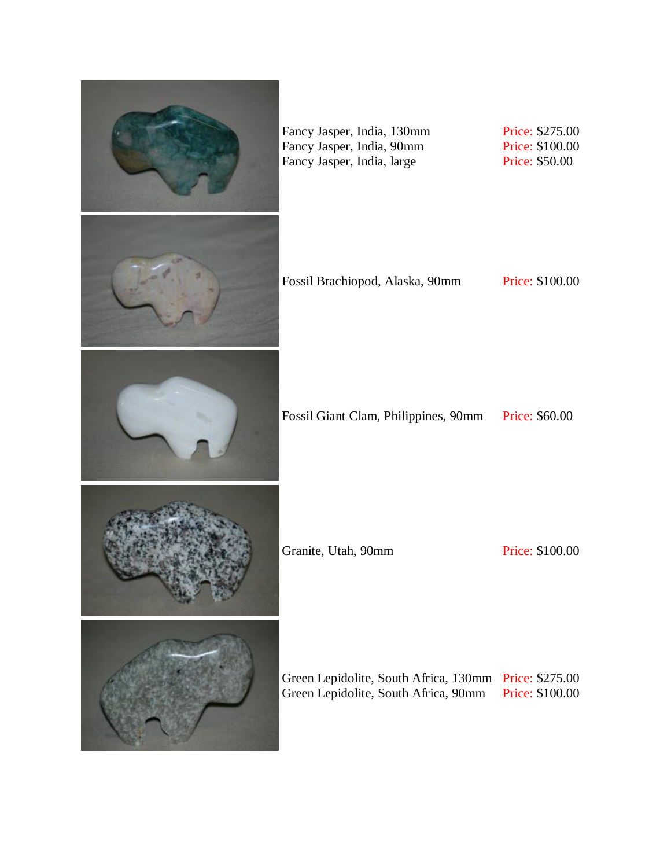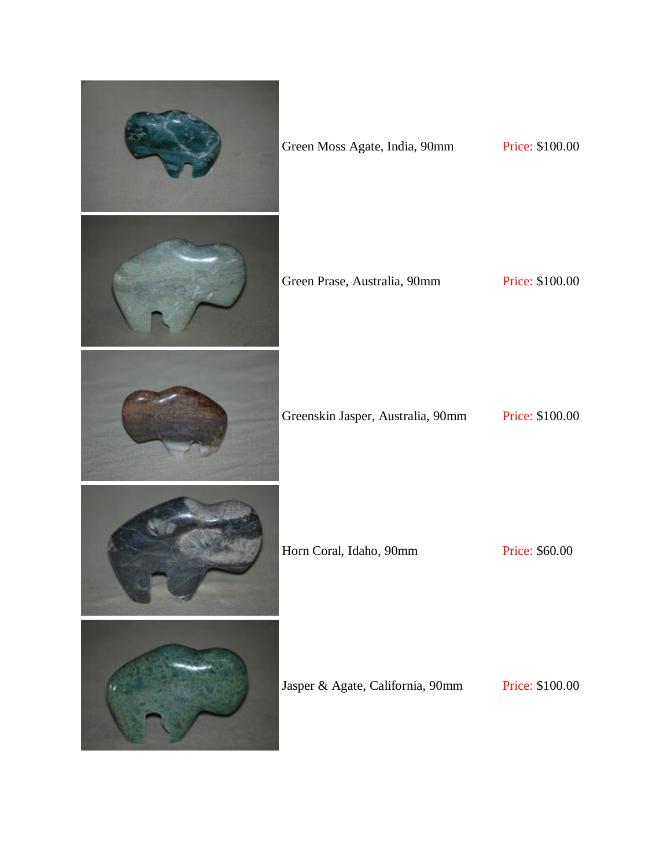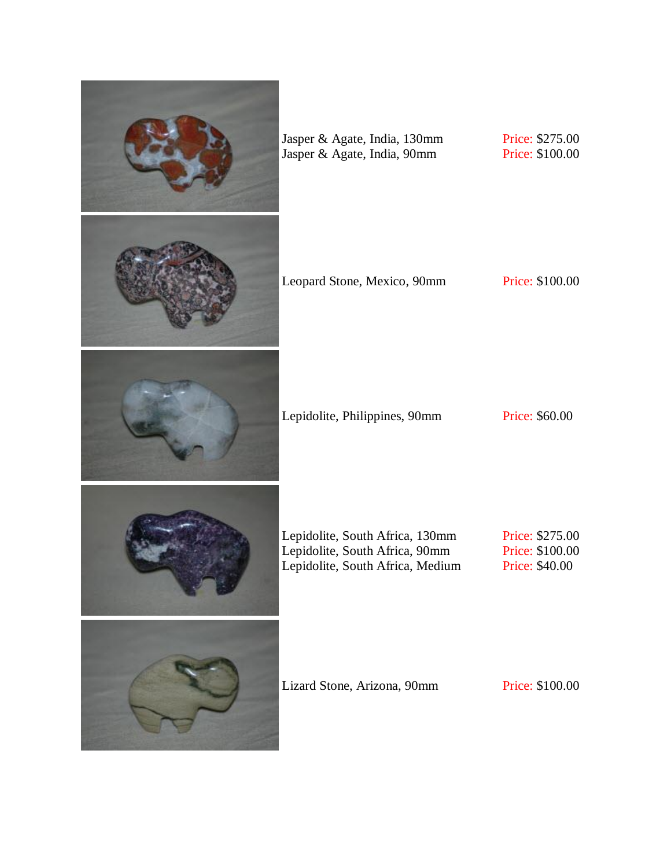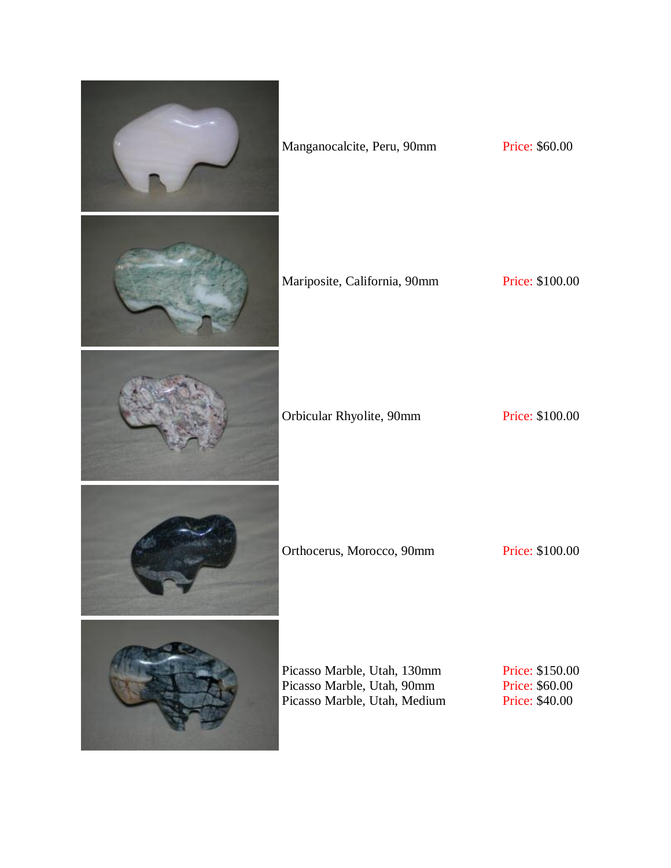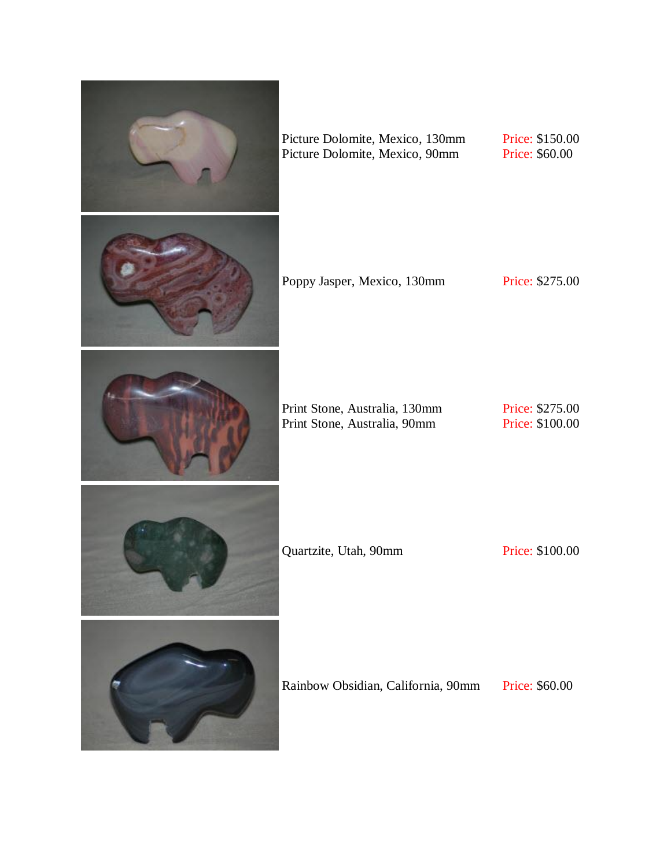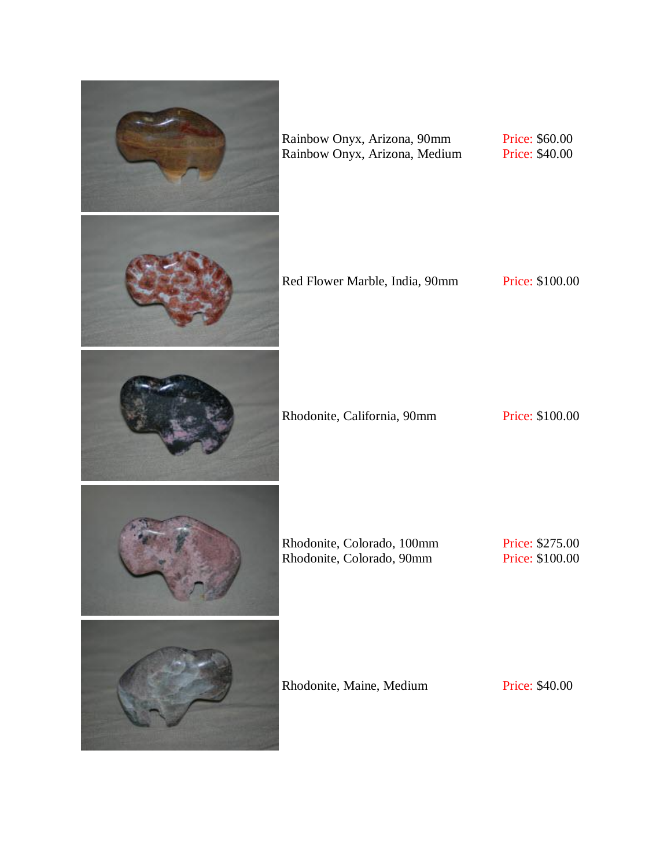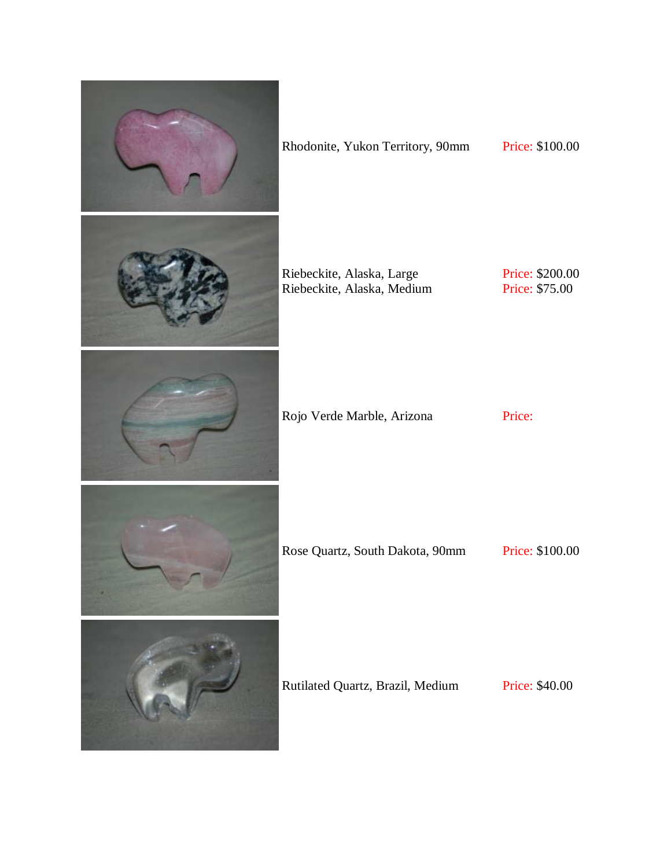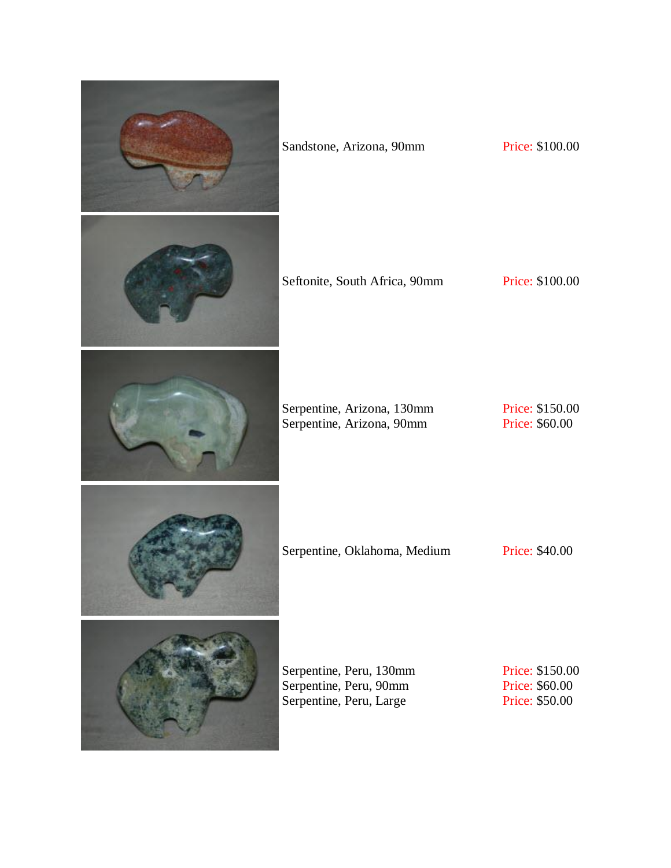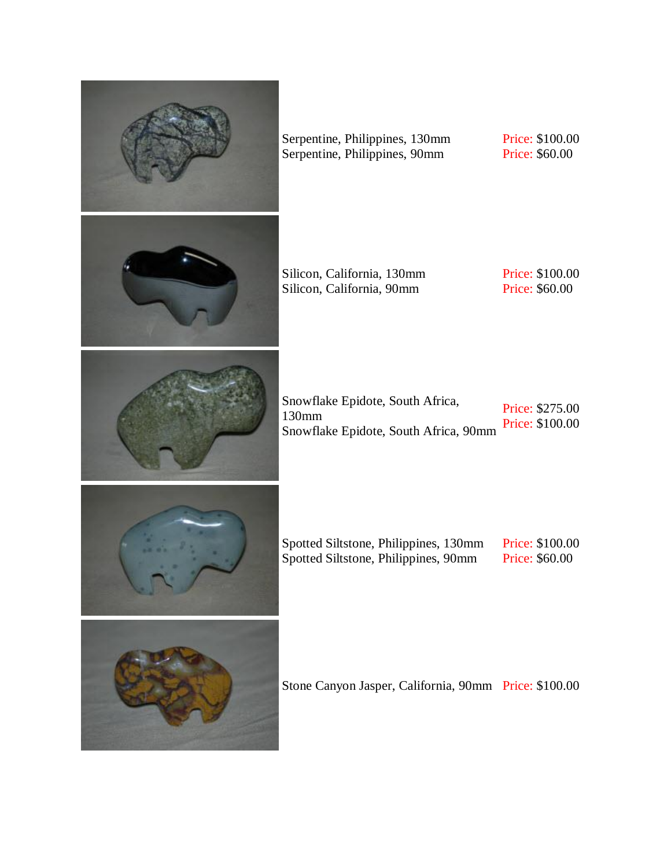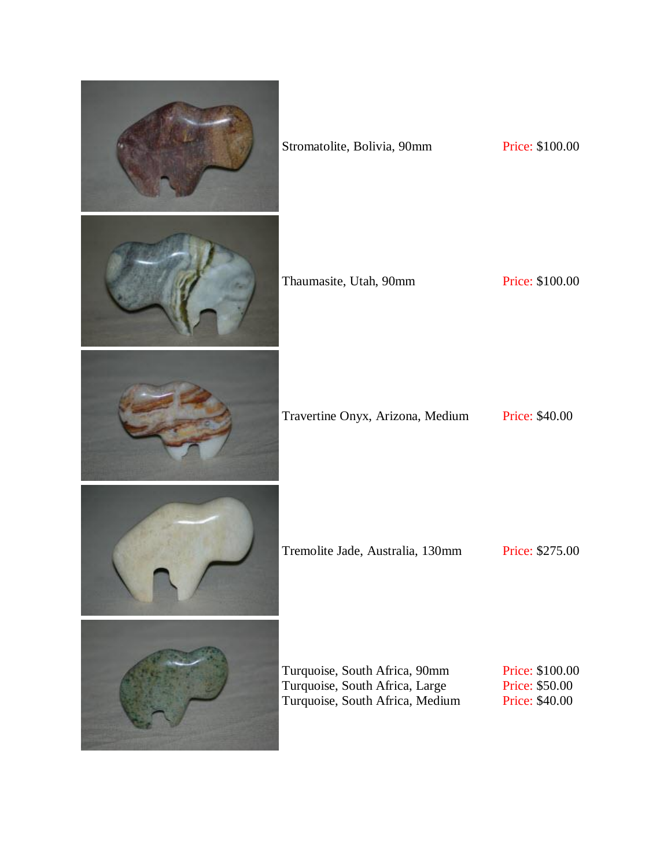